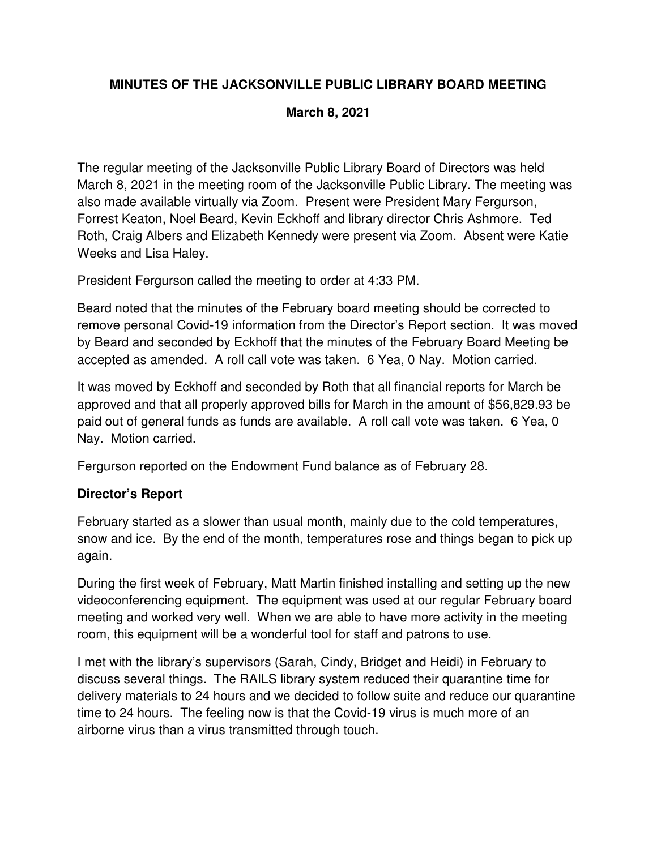# **MINUTES OF THE JACKSONVILLE PUBLIC LIBRARY BOARD MEETING**

## **March 8, 2021**

The regular meeting of the Jacksonville Public Library Board of Directors was held March 8, 2021 in the meeting room of the Jacksonville Public Library. The meeting was also made available virtually via Zoom. Present were President Mary Fergurson, Forrest Keaton, Noel Beard, Kevin Eckhoff and library director Chris Ashmore. Ted Roth, Craig Albers and Elizabeth Kennedy were present via Zoom. Absent were Katie Weeks and Lisa Haley.

President Fergurson called the meeting to order at 4:33 PM.

Beard noted that the minutes of the February board meeting should be corrected to remove personal Covid-19 information from the Director's Report section. It was moved by Beard and seconded by Eckhoff that the minutes of the February Board Meeting be accepted as amended. A roll call vote was taken. 6 Yea, 0 Nay. Motion carried.

It was moved by Eckhoff and seconded by Roth that all financial reports for March be approved and that all properly approved bills for March in the amount of \$56,829.93 be paid out of general funds as funds are available. A roll call vote was taken. 6 Yea, 0 Nay. Motion carried.

Fergurson reported on the Endowment Fund balance as of February 28.

# **Director's Report**

February started as a slower than usual month, mainly due to the cold temperatures, snow and ice. By the end of the month, temperatures rose and things began to pick up again.

During the first week of February, Matt Martin finished installing and setting up the new videoconferencing equipment. The equipment was used at our regular February board meeting and worked very well. When we are able to have more activity in the meeting room, this equipment will be a wonderful tool for staff and patrons to use.

I met with the library's supervisors (Sarah, Cindy, Bridget and Heidi) in February to discuss several things. The RAILS library system reduced their quarantine time for delivery materials to 24 hours and we decided to follow suite and reduce our quarantine time to 24 hours. The feeling now is that the Covid-19 virus is much more of an airborne virus than a virus transmitted through touch.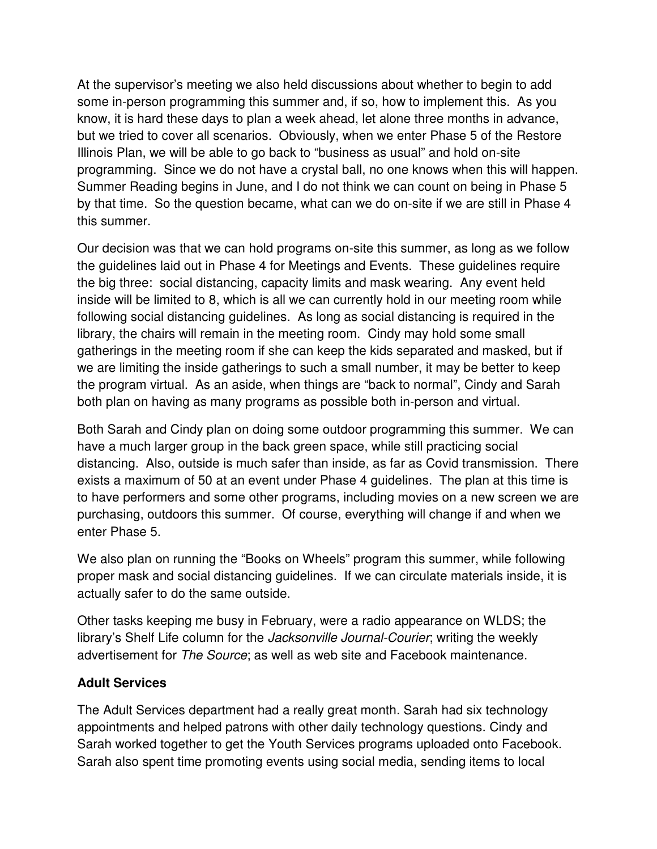At the supervisor's meeting we also held discussions about whether to begin to add some in-person programming this summer and, if so, how to implement this. As you know, it is hard these days to plan a week ahead, let alone three months in advance, but we tried to cover all scenarios. Obviously, when we enter Phase 5 of the Restore Illinois Plan, we will be able to go back to "business as usual" and hold on-site programming. Since we do not have a crystal ball, no one knows when this will happen. Summer Reading begins in June, and I do not think we can count on being in Phase 5 by that time. So the question became, what can we do on-site if we are still in Phase 4 this summer.

Our decision was that we can hold programs on-site this summer, as long as we follow the guidelines laid out in Phase 4 for Meetings and Events. These guidelines require the big three: social distancing, capacity limits and mask wearing. Any event held inside will be limited to 8, which is all we can currently hold in our meeting room while following social distancing guidelines. As long as social distancing is required in the library, the chairs will remain in the meeting room. Cindy may hold some small gatherings in the meeting room if she can keep the kids separated and masked, but if we are limiting the inside gatherings to such a small number, it may be better to keep the program virtual. As an aside, when things are "back to normal", Cindy and Sarah both plan on having as many programs as possible both in-person and virtual.

Both Sarah and Cindy plan on doing some outdoor programming this summer. We can have a much larger group in the back green space, while still practicing social distancing. Also, outside is much safer than inside, as far as Covid transmission. There exists a maximum of 50 at an event under Phase 4 guidelines. The plan at this time is to have performers and some other programs, including movies on a new screen we are purchasing, outdoors this summer. Of course, everything will change if and when we enter Phase 5.

We also plan on running the "Books on Wheels" program this summer, while following proper mask and social distancing guidelines. If we can circulate materials inside, it is actually safer to do the same outside.

Other tasks keeping me busy in February, were a radio appearance on WLDS; the library's Shelf Life column for the *Jacksonville Journal-Courier*; writing the weekly advertisement for The Source; as well as web site and Facebook maintenance.

### **Adult Services**

The Adult Services department had a really great month. Sarah had six technology appointments and helped patrons with other daily technology questions. Cindy and Sarah worked together to get the Youth Services programs uploaded onto Facebook. Sarah also spent time promoting events using social media, sending items to local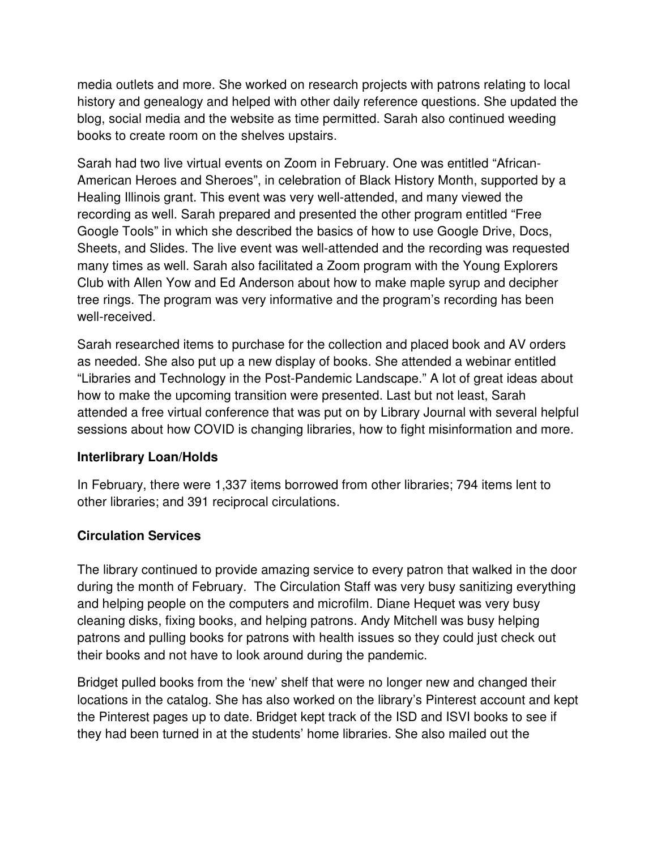media outlets and more. She worked on research projects with patrons relating to local history and genealogy and helped with other daily reference questions. She updated the blog, social media and the website as time permitted. Sarah also continued weeding books to create room on the shelves upstairs.

Sarah had two live virtual events on Zoom in February. One was entitled "African-American Heroes and Sheroes", in celebration of Black History Month, supported by a Healing Illinois grant. This event was very well-attended, and many viewed the recording as well. Sarah prepared and presented the other program entitled "Free Google Tools" in which she described the basics of how to use Google Drive, Docs, Sheets, and Slides. The live event was well-attended and the recording was requested many times as well. Sarah also facilitated a Zoom program with the Young Explorers Club with Allen Yow and Ed Anderson about how to make maple syrup and decipher tree rings. The program was very informative and the program's recording has been well-received.

Sarah researched items to purchase for the collection and placed book and AV orders as needed. She also put up a new display of books. She attended a webinar entitled "Libraries and Technology in the Post-Pandemic Landscape." A lot of great ideas about how to make the upcoming transition were presented. Last but not least, Sarah attended a free virtual conference that was put on by Library Journal with several helpful sessions about how COVID is changing libraries, how to fight misinformation and more.

# **Interlibrary Loan/Holds**

In February, there were 1,337 items borrowed from other libraries; 794 items lent to other libraries; and 391 reciprocal circulations.

# **Circulation Services**

The library continued to provide amazing service to every patron that walked in the door during the month of February. The Circulation Staff was very busy sanitizing everything and helping people on the computers and microfilm. Diane Hequet was very busy cleaning disks, fixing books, and helping patrons. Andy Mitchell was busy helping patrons and pulling books for patrons with health issues so they could just check out their books and not have to look around during the pandemic.

Bridget pulled books from the 'new' shelf that were no longer new and changed their locations in the catalog. She has also worked on the library's Pinterest account and kept the Pinterest pages up to date. Bridget kept track of the ISD and ISVI books to see if they had been turned in at the students' home libraries. She also mailed out the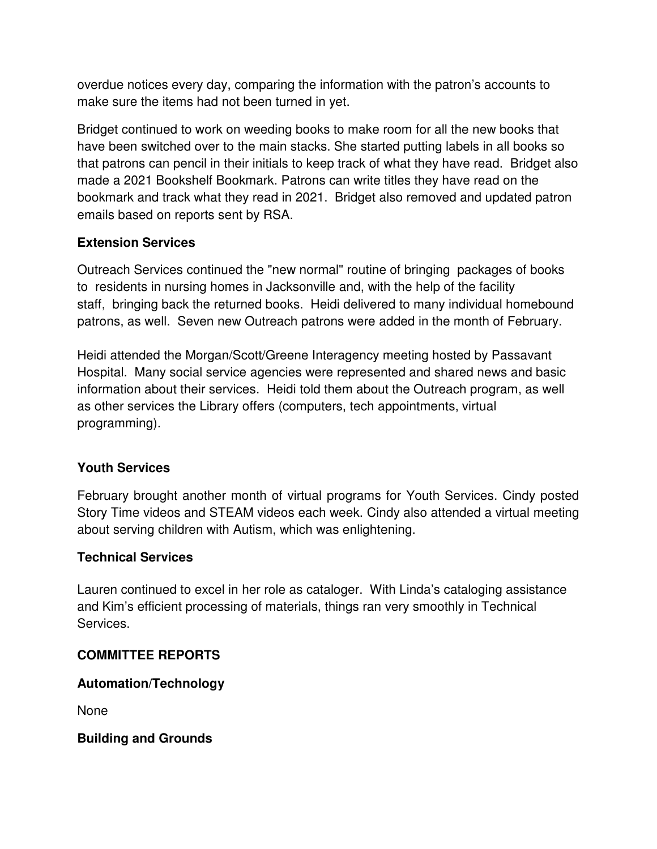overdue notices every day, comparing the information with the patron's accounts to make sure the items had not been turned in yet.

Bridget continued to work on weeding books to make room for all the new books that have been switched over to the main stacks. She started putting labels in all books so that patrons can pencil in their initials to keep track of what they have read. Bridget also made a 2021 Bookshelf Bookmark. Patrons can write titles they have read on the bookmark and track what they read in 2021. Bridget also removed and updated patron emails based on reports sent by RSA.

## **Extension Services**

Outreach Services continued the "new normal" routine of bringing packages of books to residents in nursing homes in Jacksonville and, with the help of the facility staff, bringing back the returned books. Heidi delivered to many individual homebound patrons, as well. Seven new Outreach patrons were added in the month of February.

Heidi attended the Morgan/Scott/Greene Interagency meeting hosted by Passavant Hospital. Many social service agencies were represented and shared news and basic information about their services. Heidi told them about the Outreach program, as well as other services the Library offers (computers, tech appointments, virtual programming).

### **Youth Services**

February brought another month of virtual programs for Youth Services. Cindy posted Story Time videos and STEAM videos each week. Cindy also attended a virtual meeting about serving children with Autism, which was enlightening.

### **Technical Services**

Lauren continued to excel in her role as cataloger. With Linda's cataloging assistance and Kim's efficient processing of materials, things ran very smoothly in Technical Services.

# **COMMITTEE REPORTS**

# **Automation/Technology**

None

**Building and Grounds**